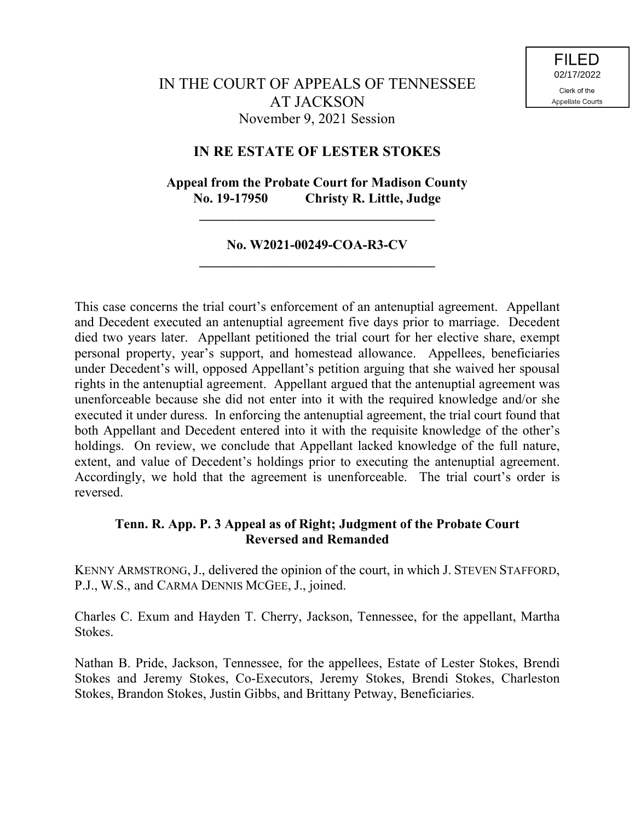## **IN RE ESTATE OF LESTER STOKES**

# **Appeal from the Probate Court for Madison County No. 19-17950 Christy R. Little, Judge**

**\_\_\_\_\_\_\_\_\_\_\_\_\_\_\_\_\_\_\_\_\_\_\_\_\_\_\_\_\_\_\_\_\_\_\_**

## **No. W2021-00249-COA-R3-CV \_\_\_\_\_\_\_\_\_\_\_\_\_\_\_\_\_\_\_\_\_\_\_\_\_\_\_\_\_\_\_\_\_\_\_**

This case concerns the trial court's enforcement of an antenuptial agreement. Appellant and Decedent executed an antenuptial agreement five days prior to marriage. Decedent died two years later. Appellant petitioned the trial court for her elective share, exempt personal property, year's support, and homestead allowance. Appellees, beneficiaries under Decedent's will, opposed Appellant's petition arguing that she waived her spousal rights in the antenuptial agreement. Appellant argued that the antenuptial agreement was unenforceable because she did not enter into it with the required knowledge and/or she executed it under duress. In enforcing the antenuptial agreement, the trial court found that both Appellant and Decedent entered into it with the requisite knowledge of the other's holdings. On review, we conclude that Appellant lacked knowledge of the full nature, extent, and value of Decedent's holdings prior to executing the antenuptial agreement. Accordingly, we hold that the agreement is unenforceable. The trial court's order is reversed.

## **Tenn. R. App. P. 3 Appeal as of Right; Judgment of the Probate Court Reversed and Remanded**

KENNY ARMSTRONG,J., delivered the opinion of the court, in which J. STEVEN STAFFORD, P.J., W.S., and CARMA DENNIS MCGEE, J., joined.

Charles C. Exum and Hayden T. Cherry, Jackson, Tennessee, for the appellant, Martha Stokes.

Nathan B. Pride, Jackson, Tennessee, for the appellees, Estate of Lester Stokes, Brendi Stokes and Jeremy Stokes, Co-Executors, Jeremy Stokes, Brendi Stokes, Charleston Stokes, Brandon Stokes, Justin Gibbs, and Brittany Petway, Beneficiaries.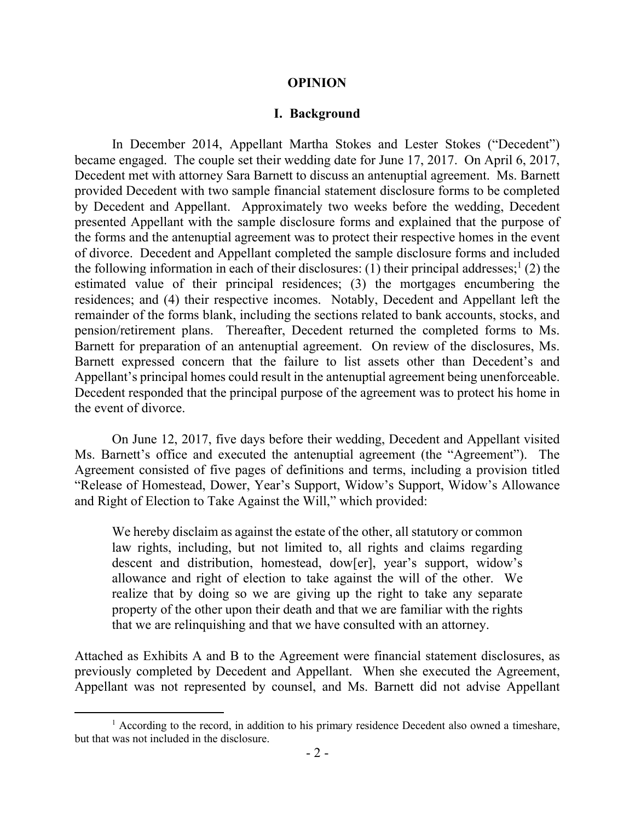### **OPINION**

## **I. Background**

In December 2014, Appellant Martha Stokes and Lester Stokes ("Decedent") became engaged. The couple set their wedding date for June 17, 2017. On April 6, 2017, Decedent met with attorney Sara Barnett to discuss an antenuptial agreement. Ms. Barnett provided Decedent with two sample financial statement disclosure forms to be completed by Decedent and Appellant. Approximately two weeks before the wedding, Decedent presented Appellant with the sample disclosure forms and explained that the purpose of the forms and the antenuptial agreement was to protect their respective homes in the event of divorce. Decedent and Appellant completed the sample disclosure forms and included the following information in each of their disclosures: (1) their principal addresses;<sup>1</sup> (2) the estimated value of their principal residences; (3) the mortgages encumbering the residences; and (4) their respective incomes. Notably, Decedent and Appellant left the remainder of the forms blank, including the sections related to bank accounts, stocks, and pension/retirement plans. Thereafter, Decedent returned the completed forms to Ms. Barnett for preparation of an antenuptial agreement. On review of the disclosures, Ms. Barnett expressed concern that the failure to list assets other than Decedent's and Appellant's principal homes could result in the antenuptial agreement being unenforceable. Decedent responded that the principal purpose of the agreement was to protect his home in the event of divorce.

On June 12, 2017, five days before their wedding, Decedent and Appellant visited Ms. Barnett's office and executed the antenuptial agreement (the "Agreement"). The Agreement consisted of five pages of definitions and terms, including a provision titled "Release of Homestead, Dower, Year's Support, Widow's Support, Widow's Allowance and Right of Election to Take Against the Will," which provided:

We hereby disclaim as against the estate of the other, all statutory or common law rights, including, but not limited to, all rights and claims regarding descent and distribution, homestead, dow[er], year's support, widow's allowance and right of election to take against the will of the other. We realize that by doing so we are giving up the right to take any separate property of the other upon their death and that we are familiar with the rights that we are relinquishing and that we have consulted with an attorney.

Attached as Exhibits A and B to the Agreement were financial statement disclosures, as previously completed by Decedent and Appellant. When she executed the Agreement, Appellant was not represented by counsel, and Ms. Barnett did not advise Appellant

 $1$  According to the record, in addition to his primary residence Decedent also owned a timeshare, but that was not included in the disclosure.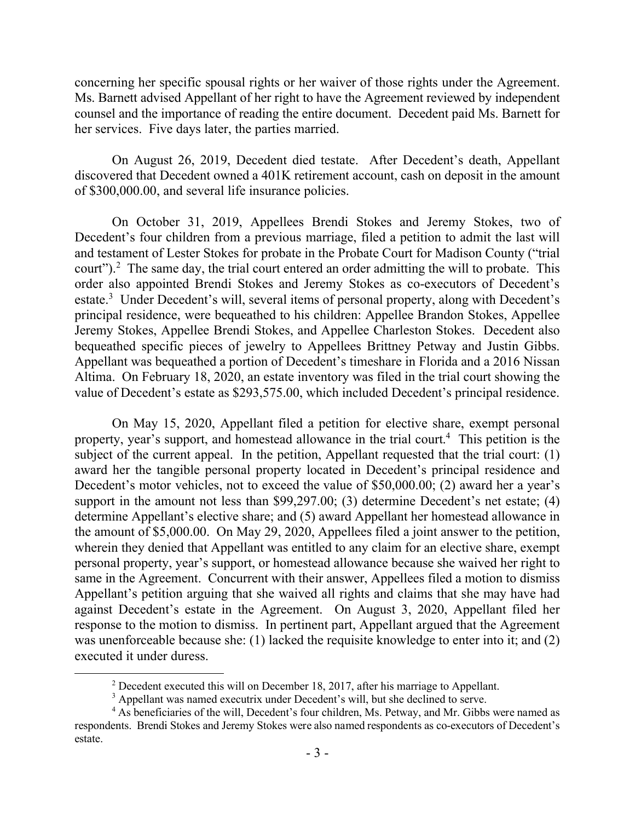concerning her specific spousal rights or her waiver of those rights under the Agreement. Ms. Barnett advised Appellant of her right to have the Agreement reviewed by independent counsel and the importance of reading the entire document. Decedent paid Ms. Barnett for her services. Five days later, the parties married.

On August 26, 2019, Decedent died testate. After Decedent's death, Appellant discovered that Decedent owned a 401K retirement account, cash on deposit in the amount of \$300,000.00, and several life insurance policies.

On October 31, 2019, Appellees Brendi Stokes and Jeremy Stokes, two of Decedent's four children from a previous marriage, filed a petition to admit the last will and testament of Lester Stokes for probate in the Probate Court for Madison County ("trial court").<sup>2</sup> The same day, the trial court entered an order admitting the will to probate. This order also appointed Brendi Stokes and Jeremy Stokes as co-executors of Decedent's estate.<sup>3</sup> Under Decedent's will, several items of personal property, along with Decedent's principal residence, were bequeathed to his children: Appellee Brandon Stokes, Appellee Jeremy Stokes, Appellee Brendi Stokes, and Appellee Charleston Stokes. Decedent also bequeathed specific pieces of jewelry to Appellees Brittney Petway and Justin Gibbs. Appellant was bequeathed a portion of Decedent's timeshare in Florida and a 2016 Nissan Altima. On February 18, 2020, an estate inventory was filed in the trial court showing the value of Decedent's estate as \$293,575.00, which included Decedent's principal residence.

On May 15, 2020, Appellant filed a petition for elective share, exempt personal property, year's support, and homestead allowance in the trial court. 4 This petition is the subject of the current appeal. In the petition, Appellant requested that the trial court: (1) award her the tangible personal property located in Decedent's principal residence and Decedent's motor vehicles, not to exceed the value of \$50,000.00; (2) award her a year's support in the amount not less than \$99,297.00; (3) determine Decedent's net estate; (4) determine Appellant's elective share; and (5) award Appellant her homestead allowance in the amount of \$5,000.00. On May 29, 2020, Appellees filed a joint answer to the petition, wherein they denied that Appellant was entitled to any claim for an elective share, exempt personal property, year's support, or homestead allowance because she waived her right to same in the Agreement. Concurrent with their answer, Appellees filed a motion to dismiss Appellant's petition arguing that she waived all rights and claims that she may have had against Decedent's estate in the Agreement. On August 3, 2020, Appellant filed her response to the motion to dismiss. In pertinent part, Appellant argued that the Agreement was unenforceable because she: (1) lacked the requisite knowledge to enter into it; and (2) executed it under duress.

 $\overline{a}$ 

 $2$  Decedent executed this will on December 18, 2017, after his marriage to Appellant.

<sup>&</sup>lt;sup>3</sup> Appellant was named executrix under Decedent's will, but she declined to serve.

<sup>&</sup>lt;sup>4</sup> As beneficiaries of the will, Decedent's four children, Ms. Petway, and Mr. Gibbs were named as respondents. Brendi Stokes and Jeremy Stokes were also named respondents as co-executors of Decedent's estate.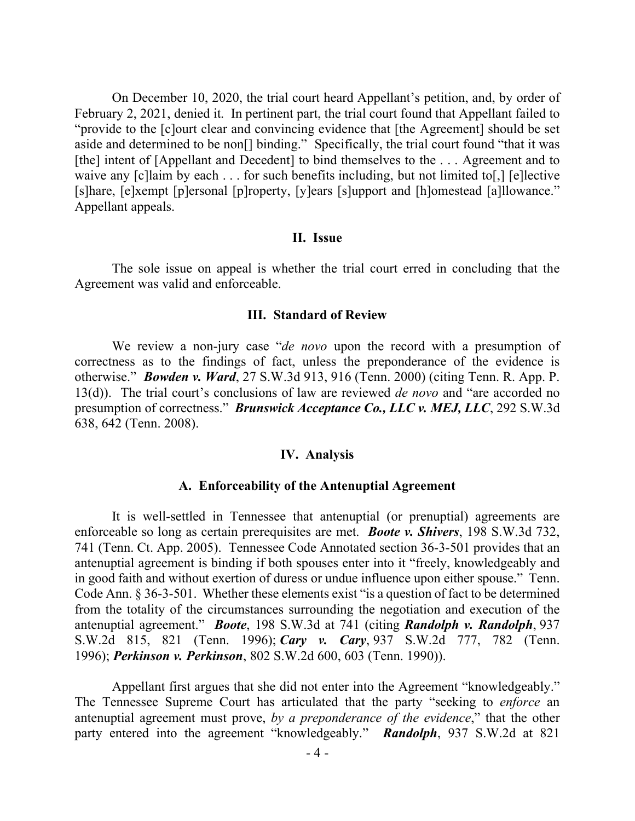On December 10, 2020, the trial court heard Appellant's petition, and, by order of February 2, 2021, denied it. In pertinent part, the trial court found that Appellant failed to "provide to the [c]ourt clear and convincing evidence that [the Agreement] should be set aside and determined to be non[] binding." Specifically, the trial court found "that it was [the] intent of [Appellant and Decedent] to bind themselves to the . . . Agreement and to waive any [c]laim by each . . . for such benefits including, but not limited to[,] [e]lective [s]hare, [e]xempt [p]ersonal [p]roperty, [y]ears [s]upport and [h]omestead [a]llowance." Appellant appeals.

#### **II. Issue**

The sole issue on appeal is whether the trial court erred in concluding that the Agreement was valid and enforceable.

#### **III. Standard of Review**

We review a non-jury case "*de novo* upon the record with a presumption of correctness as to the findings of fact, unless the preponderance of the evidence is otherwise." *Bowden v. Ward*, 27 S.W.3d 913, 916 (Tenn. 2000) (citing Tenn. R. App. P. 13(d)). The trial court's conclusions of law are reviewed *de novo* and "are accorded no presumption of correctness." *Brunswick Acceptance Co., LLC v. MEJ, LLC*, 292 S.W.3d 638, 642 (Tenn. 2008).

#### **IV. Analysis**

### **A. Enforceability of the Antenuptial Agreement**

It is well-settled in Tennessee that antenuptial (or prenuptial) agreements are enforceable so long as certain prerequisites are met. *Boote v. Shivers*, 198 S.W.3d 732, 741 (Tenn. Ct. App. 2005). Tennessee Code Annotated section 36-3-501 provides that an antenuptial agreement is binding if both spouses enter into it "freely, knowledgeably and in good faith and without exertion of duress or undue influence upon either spouse." Tenn. Code Ann. § 36-3-501. Whether these elements exist "is a question of fact to be determined from the totality of the circumstances surrounding the negotiation and execution of the antenuptial agreement." *Boote*, 198 S.W.3d at 741 (citing *Randolph v. Randolph*, 937 S.W.2d 815, 821 (Tenn. 1996); *Cary v. Cary*, 937 S.W.2d 777, 782 (Tenn. 1996); *Perkinson v. Perkinson*, 802 S.W.2d 600, 603 (Tenn. 1990)).

Appellant first argues that she did not enter into the Agreement "knowledgeably." The Tennessee Supreme Court has articulated that the party "seeking to *enforce* an antenuptial agreement must prove, *by a preponderance of the evidence*," that the other party entered into the agreement "knowledgeably." *Randolph*, 937 S.W.2d at 821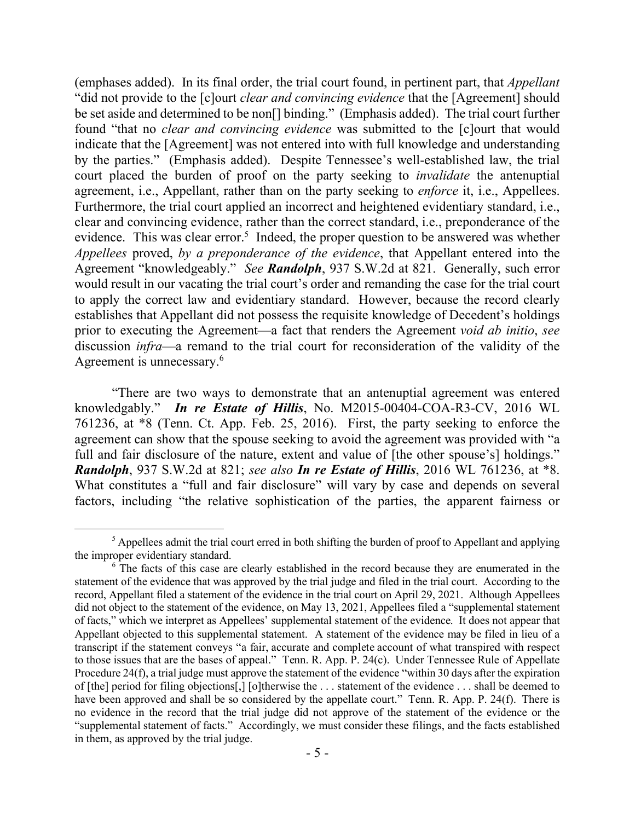(emphases added). In its final order, the trial court found, in pertinent part, that *Appellant* "did not provide to the [c]ourt *clear and convincing evidence* that the [Agreement] should be set aside and determined to be non[] binding." (Emphasis added). The trial court further found "that no *clear and convincing evidence* was submitted to the [c]ourt that would indicate that the [Agreement] was not entered into with full knowledge and understanding by the parties." (Emphasis added). Despite Tennessee's well-established law, the trial court placed the burden of proof on the party seeking to *invalidate* the antenuptial agreement, i.e., Appellant, rather than on the party seeking to *enforce* it, i.e., Appellees. Furthermore, the trial court applied an incorrect and heightened evidentiary standard, i.e., clear and convincing evidence, rather than the correct standard, i.e., preponderance of the evidence. This was clear error.<sup>5</sup> Indeed, the proper question to be answered was whether *Appellees* proved, *by a preponderance of the evidence*, that Appellant entered into the Agreement "knowledgeably." *See Randolph*, 937 S.W.2d at 821. Generally, such error would result in our vacating the trial court's order and remanding the case for the trial court to apply the correct law and evidentiary standard. However, because the record clearly establishes that Appellant did not possess the requisite knowledge of Decedent's holdings prior to executing the Agreement—a fact that renders the Agreement *void ab initio*, *see*  discussion *infra*—a remand to the trial court for reconsideration of the validity of the Agreement is unnecessary. 6

"There are two ways to demonstrate that an antenuptial agreement was entered knowledgably." *In re Estate of Hillis*, No. M2015-00404-COA-R3-CV, 2016 WL 761236, at \*8 (Tenn. Ct. App. Feb. 25, 2016). First, the party seeking to enforce the agreement can show that the spouse seeking to avoid the agreement was provided with "a full and fair disclosure of the nature, extent and value of [the other spouse's] holdings." *Randolph*, 937 S.W.2d at 821; *see also In re Estate of Hillis*, 2016 WL 761236, at \*8. What constitutes a "full and fair disclosure" will vary by case and depends on several factors, including "the relative sophistication of the parties, the apparent fairness or

 $\overline{a}$ 

 $<sup>5</sup>$  Appellees admit the trial court erred in both shifting the burden of proof to Appellant and applying</sup> the improper evidentiary standard.

<sup>&</sup>lt;sup>6</sup> The facts of this case are clearly established in the record because they are enumerated in the statement of the evidence that was approved by the trial judge and filed in the trial court. According to the record, Appellant filed a statement of the evidence in the trial court on April 29, 2021. Although Appellees did not object to the statement of the evidence, on May 13, 2021, Appellees filed a "supplemental statement of facts," which we interpret as Appellees' supplemental statement of the evidence. It does not appear that Appellant objected to this supplemental statement. A statement of the evidence may be filed in lieu of a transcript if the statement conveys "a fair, accurate and complete account of what transpired with respect to those issues that are the bases of appeal." Tenn. R. App. P. 24(c). Under Tennessee Rule of Appellate Procedure 24(f), a trial judge must approve the statement of the evidence "within 30 days after the expiration of [the] period for filing objections[,] [o]therwise the . . . statement of the evidence . . . shall be deemed to have been approved and shall be so considered by the appellate court." Tenn. R. App. P. 24(f). There is no evidence in the record that the trial judge did not approve of the statement of the evidence or the "supplemental statement of facts." Accordingly, we must consider these filings, and the facts established in them, as approved by the trial judge.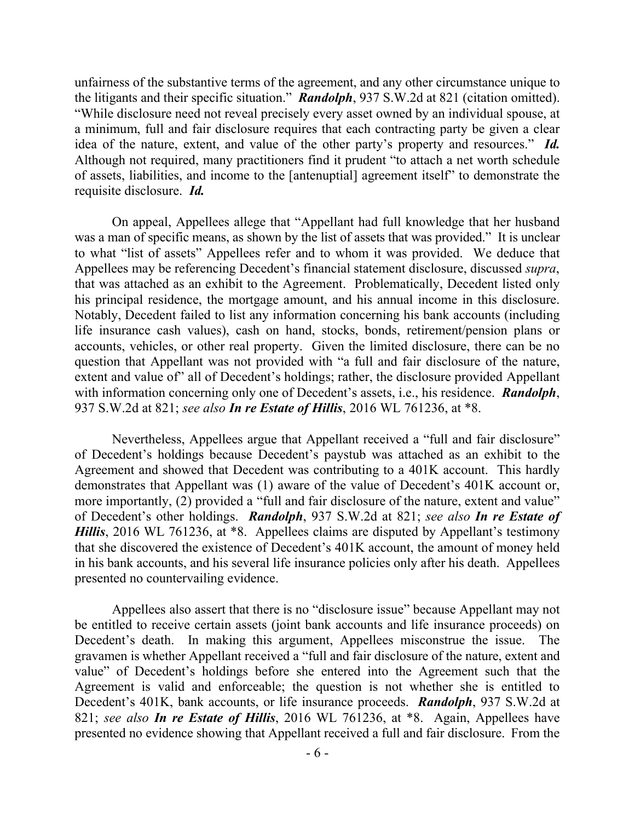unfairness of the substantive terms of the agreement, and any other circumstance unique to the litigants and their specific situation." *Randolph*, 937 S.W.2d at 821 (citation omitted). "While disclosure need not reveal precisely every asset owned by an individual spouse, at a minimum, full and fair disclosure requires that each contracting party be given a clear idea of the nature, extent, and value of the other party's property and resources." *Id.* Although not required, many practitioners find it prudent "to attach a net worth schedule of assets, liabilities, and income to the [antenuptial] agreement itself" to demonstrate the requisite disclosure. *Id.*

On appeal, Appellees allege that "Appellant had full knowledge that her husband was a man of specific means, as shown by the list of assets that was provided." It is unclear to what "list of assets" Appellees refer and to whom it was provided. We deduce that Appellees may be referencing Decedent's financial statement disclosure, discussed *supra*, that was attached as an exhibit to the Agreement. Problematically, Decedent listed only his principal residence, the mortgage amount, and his annual income in this disclosure. Notably, Decedent failed to list any information concerning his bank accounts (including life insurance cash values), cash on hand, stocks, bonds, retirement/pension plans or accounts, vehicles, or other real property. Given the limited disclosure, there can be no question that Appellant was not provided with "a full and fair disclosure of the nature, extent and value of" all of Decedent's holdings; rather, the disclosure provided Appellant with information concerning only one of Decedent's assets, i.e., his residence. *Randolph*, 937 S.W.2d at 821; *see also In re Estate of Hillis*, 2016 WL 761236, at \*8.

Nevertheless, Appellees argue that Appellant received a "full and fair disclosure" of Decedent's holdings because Decedent's paystub was attached as an exhibit to the Agreement and showed that Decedent was contributing to a 401K account. This hardly demonstrates that Appellant was (1) aware of the value of Decedent's 401K account or, more importantly, (2) provided a "full and fair disclosure of the nature, extent and value" of Decedent's other holdings. *Randolph*, 937 S.W.2d at 821; *see also In re Estate of Hillis*, 2016 WL 761236, at \*8. Appellees claims are disputed by Appellant's testimony that she discovered the existence of Decedent's 401K account, the amount of money held in his bank accounts, and his several life insurance policies only after his death. Appellees presented no countervailing evidence.

Appellees also assert that there is no "disclosure issue" because Appellant may not be entitled to receive certain assets (joint bank accounts and life insurance proceeds) on Decedent's death. In making this argument, Appellees misconstrue the issue. The gravamen is whether Appellant received a "full and fair disclosure of the nature, extent and value" of Decedent's holdings before she entered into the Agreement such that the Agreement is valid and enforceable; the question is not whether she is entitled to Decedent's 401K, bank accounts, or life insurance proceeds. *Randolph*, 937 S.W.2d at 821; *see also In re Estate of Hillis*, 2016 WL 761236, at \*8. Again, Appellees have presented no evidence showing that Appellant received a full and fair disclosure. From the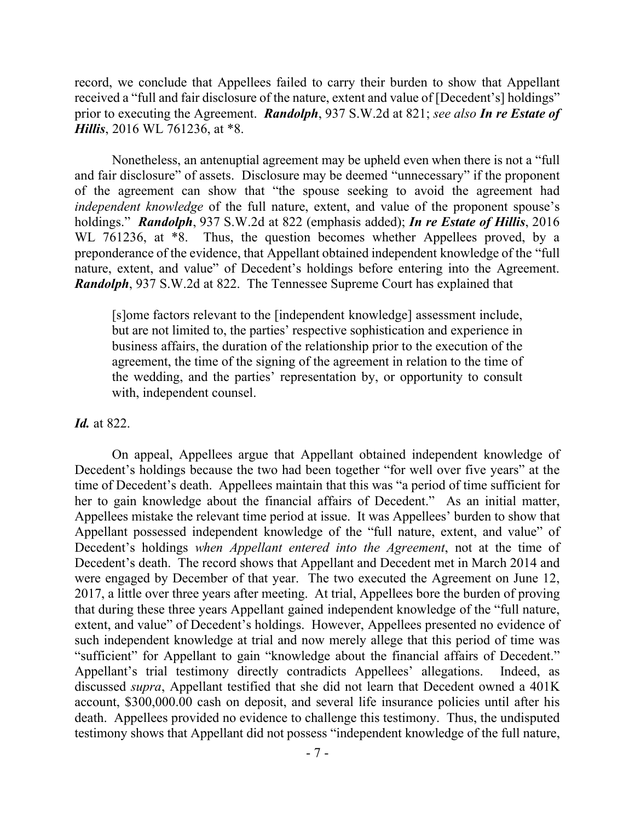record, we conclude that Appellees failed to carry their burden to show that Appellant received a "full and fair disclosure of the nature, extent and value of [Decedent's] holdings" prior to executing the Agreement. *Randolph*, 937 S.W.2d at 821; *see also In re Estate of Hillis*, 2016 WL 761236, at \*8.

Nonetheless, an antenuptial agreement may be upheld even when there is not a "full and fair disclosure" of assets. Disclosure may be deemed "unnecessary" if the proponent of the agreement can show that "the spouse seeking to avoid the agreement had *independent knowledge* of the full nature, extent, and value of the proponent spouse's holdings." *Randolph*, 937 S.W.2d at 822 (emphasis added); *In re Estate of Hillis*, 2016 WL 761236, at  $*8$ . Thus, the question becomes whether Appellees proved, by a preponderance of the evidence, that Appellant obtained independent knowledge of the "full nature, extent, and value" of Decedent's holdings before entering into the Agreement. *Randolph*, 937 S.W.2d at 822. The Tennessee Supreme Court has explained that

[s]ome factors relevant to the [independent knowledge] assessment include, but are not limited to, the parties' respective sophistication and experience in business affairs, the duration of the relationship prior to the execution of the agreement, the time of the signing of the agreement in relation to the time of the wedding, and the parties' representation by, or opportunity to consult with, independent counsel.

## *Id.* at 822.

On appeal, Appellees argue that Appellant obtained independent knowledge of Decedent's holdings because the two had been together "for well over five years" at the time of Decedent's death. Appellees maintain that this was "a period of time sufficient for her to gain knowledge about the financial affairs of Decedent." As an initial matter, Appellees mistake the relevant time period at issue. It was Appellees' burden to show that Appellant possessed independent knowledge of the "full nature, extent, and value" of Decedent's holdings *when Appellant entered into the Agreement*, not at the time of Decedent's death. The record shows that Appellant and Decedent met in March 2014 and were engaged by December of that year. The two executed the Agreement on June 12, 2017, a little over three years after meeting. At trial, Appellees bore the burden of proving that during these three years Appellant gained independent knowledge of the "full nature, extent, and value" of Decedent's holdings. However, Appellees presented no evidence of such independent knowledge at trial and now merely allege that this period of time was "sufficient" for Appellant to gain "knowledge about the financial affairs of Decedent." Appellant's trial testimony directly contradicts Appellees' allegations. Indeed, as discussed *supra*, Appellant testified that she did not learn that Decedent owned a 401K account, \$300,000.00 cash on deposit, and several life insurance policies until after his death. Appellees provided no evidence to challenge this testimony. Thus, the undisputed testimony shows that Appellant did not possess "independent knowledge of the full nature,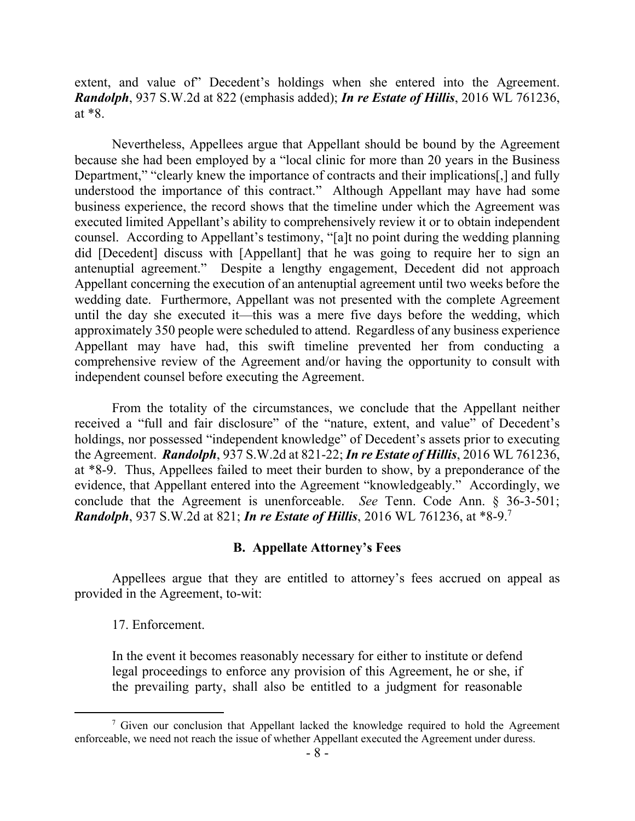extent, and value of Decedent's holdings when she entered into the Agreement. *Randolph*, 937 S.W.2d at 822 (emphasis added); *In re Estate of Hillis*, 2016 WL 761236, at \*8.

Nevertheless, Appellees argue that Appellant should be bound by the Agreement because she had been employed by a "local clinic for more than 20 years in the Business Department," "clearly knew the importance of contracts and their implications[,] and fully understood the importance of this contract." Although Appellant may have had some business experience, the record shows that the timeline under which the Agreement was executed limited Appellant's ability to comprehensively review it or to obtain independent counsel. According to Appellant's testimony, "[a]t no point during the wedding planning did [Decedent] discuss with [Appellant] that he was going to require her to sign an antenuptial agreement." Despite a lengthy engagement, Decedent did not approach Appellant concerning the execution of an antenuptial agreement until two weeks before the wedding date. Furthermore, Appellant was not presented with the complete Agreement until the day she executed it—this was a mere five days before the wedding, which approximately 350 people were scheduled to attend. Regardless of any business experience Appellant may have had, this swift timeline prevented her from conducting a comprehensive review of the Agreement and/or having the opportunity to consult with independent counsel before executing the Agreement.

From the totality of the circumstances, we conclude that the Appellant neither received a "full and fair disclosure" of the "nature, extent, and value" of Decedent's holdings, nor possessed "independent knowledge" of Decedent's assets prior to executing the Agreement. *Randolph*, 937 S.W.2d at 821-22; *In re Estate of Hillis*, 2016 WL 761236, at \*8-9. Thus, Appellees failed to meet their burden to show, by a preponderance of the evidence, that Appellant entered into the Agreement "knowledgeably." Accordingly, we conclude that the Agreement is unenforceable. *See* Tenn. Code Ann. § 36-3-501; *Randolph*, 937 S.W.2d at 821; *In re Estate of Hillis*, 2016 WL 761236, at \*8-9. 7

## **B. Appellate Attorney's Fees**

Appellees argue that they are entitled to attorney's fees accrued on appeal as provided in the Agreement, to-wit:

#### 17. Enforcement.

In the event it becomes reasonably necessary for either to institute or defend legal proceedings to enforce any provision of this Agreement, he or she, if the prevailing party, shall also be entitled to a judgment for reasonable

 $7$  Given our conclusion that Appellant lacked the knowledge required to hold the Agreement enforceable, we need not reach the issue of whether Appellant executed the Agreement under duress.